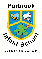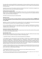This policy will be used during 2022/2023 for allocating places in the main admission round for entry to Year R in September 2023. It will also apply to in-year admissions during 2023/24. It does not apply to those being admitted to nursery provision.

Hampshire County Council is the admission authority for Purbrook Infant School. The admission arrangements are determined by the County Council, after statutory consultations.

# **Published Admission Number (PAN)**

Each school has a published admission number (PAN)<sup>1</sup> for entry to Year R. The school will admit this number of children if there are sufficient applications. Where there are fewer applications than the published admission number, places will be offered to all applicants.

The PAN for Purbrook Infant School for 2023-2024 is **90**

## **Admissions Process**

The County Council will consider first all those applications received by the published deadline of **midnight on 15 January 2023**. **Notifications to parents offering a primary or infant school place will be sent by the County Council on 17 April 2023.**

Applications made after the deadline will be considered after all on-time applications have been fully processed unless exceptional circumstances merit consideration alongside on-time applications.

For the normal admission round, all on time preferences will be considered simultaneously and ranked in accordance with the admission criteria. If more than one school can offer a place, the parent's highest stated available preference will be allocated.

## **Pupils with an Education, Health and Care Plan**

Any child with an Education, Health and Care Plan naming Purbrook Infant School will be admitted. Where possible such children will be admitted within the PAN.

## **Oversubscription criteria**

 $\ddot{\phantom{a}}$ 

When the school is oversubscribed, after the admission of pupils with an Education, Health and Care plan naming the school, priority for admission will be given to children in the following order:

1. Looked after children or children who were previously looked after *(see definition i).* 

2. (For applications in the normal admission round only) Children or families with an exceptional medical and/or social need *(see definition ii)*. Supporting evidence from a professional is required such as a doctor and/or consultant for medical needs or a social worker, health visitor, housing officer, the police or probation officer for social needs. This evidence must confirm the child or family's medical or social need and why that need(s) makes it essential that the child attends Purbrook Infant School rather than any other. If evidence is not submitted by the application deadline, the medical and/or social need cannot be considered.

3. Children of staff *(see definition iii)* who have, (1) been employed at Purbrook Infant School for two or more years at the time at which the application for admission to the school is made, or (2) have been recruited to fill a vacant post for which there is a demonstrable skill shortage.

<sup>&</sup>lt;sup>1</sup> The PAN applies to the relevant year<sup>\*</sup> only. For other year groups at the school, different admission limits may be applied. Please ask the school or local authority for details.

<sup>\*</sup> The relevant year is the age group at which pupils are or will normally be admitted to the school i.e. reception, year 3, year 7 and year 12 where the school admits external applicants to the sixth form (Section 142 of the SSFA 1998).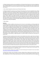4. Children living **in** the catchment area *(see definition iv)* of Purbrook Infant School who at the time of application have a sibling *(see definition v)* on the roll of Purbrook Infant School or at the linked junior school, Purbrook Junior School, who will still be on roll at the time of admission. [See 6 for additional children who may be considered under this criterion.]

5. Other children living **in** the catchment area of Purbrook Infant School*.*

6. Children living **out** of the catchment area of Purbrook Infant School who at the time of application have a sibling *(see definition v)* on the roll of Purbrook Infant School or at the linked junior school, Purbrook Junior School, who will still be on roll at the time of admission. [Where a sibling was allocated a place at Purbrook Infant School or the linked junior school, Purbrook Junior School, in the normal admission round in a previous year because the child was displaced *(see definition vi)* from the catchment school for their address, the application will be considered under 4, above, subject to the siblings still living in the catchment area for the school from which they were displaced. In future normal admissions rounds a younger sibling will be considered to have been displaced where they were allocated a place at Purbrook Infant School or the linked junior school, Purbrook Junior School, under this criterion as a consequence of their elder sibling's displacement and are still living in the catchment area for the school from which they were displaced].

7. Other children.

# *Definitions*

(i) Looked after children are defined as those who are (a) in the care of a local authority, or (b) being provided with accommodation by a local authority in the exercise of their social services functions (see the definition in section 22(1) of the Children Act 1989). Previously looked after children are those who were looked after but immediately after being looked after became subject to an adoption order, child arrangements order, or special guardianship order. An adoption order is an order under section 46 of the Adoption and Children Act 2002 or section 12 of the Adoption Act 1976. Child arrangements orders are defined in section 8 of the Children Act 1989, as amended by section 12 of the Children and Families Act 2014. Child arrangements orders replace residence orders and any residence order in force prior to 22 April 2014 is deemed to be a child arrangements order. Section 14A of the Children Act 1989 defines a 'special guardianship order' as an order appointing one or more individuals to be a child's special guardian (or special guardians). Previously looked after children also includes those who appear (to the admission authority) to have been in state care outside of England and ceased to be in state care as a result of being adopted. A child is regarded as having been in state care outside of England if they were in the care of or were accommodated by a public authority, a religious organisation, or any other provider of care whose sole or main purpose is to benefit society.

(ii) Applicants will only be considered under this criterion if on the application form (online or paper) they have ticked the appropriate box explicitly indicating that they wish for their application to be considered under medical / social need. 'Medical need' does not include mild medical conditions, such as asthma or allergies. 'Social need' does not include a parent's wish that a child attends the school because of a child's aptitude or ability or because their friends attend the school or because of routine childminding arrangements. Priority will be given to those children whose evidence establishes that they have a demonstrable and significant need to attend a particular school. Equally this priority will apply to children whose evidence establishes that a family member's physical or mental health or social needs mean that they have a demonstrable and significant need to attend a particular school. Evidence must confirm the circumstances of the case and must set out why the child should attend a particular school and why no other school could meet the child's needs. Providing evidence does not guarantee that a child will be given priority at a particular school and in each case a decision will be made based on the merits of the case and whether the evidence demonstrates that a placement should be made at one school above any other.

(iii) 'Staff' includes all those on the payroll of the Purbrook Infant School who (specific to clause (1)) have been an employee continuously for two years at the time of application. 'Children of staff' refers to situations where the staff member is the natural parent, the legal guardian, or a resident step parent.

(iv) A map of the school's catchment area is available on the school's details page of the Hampshire County Council website [www.hants.gov.uk/educationandlearning/findaschool.](http://www.hants.gov.uk/educationandlearning/findaschool)

(v) 'Sibling' refers to brother or sister, half-brother or half-sister, adoptive brother or adoptive sister, foster brother or foster sister, stepbrother or stepsister living as one family unit at the same address. It will also be applied to situations where a full, half or adopted brother or sister are living at separate addresses. Criteria 4 and 6 include children who at the time of application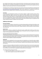have a sibling for whom the offer of a place at Purbrook Infant School or the linked junior school, Purbrook Junior School, has been accepted, even if the sibling is not yet attending. It also includes, in the normal admissions round, children who have a sibling on roll in Year 2 at the Purbrook Infant School at the time of application, who are successful in gaining a place at the linked junior school, Purbrook Junior School, on the national notification date.

(vi) 'Displaced' refers to a child who was refused a place at the catchment school in the normal admissions round having named it in the application and was not offered a higher named preference school. To identify the child's catchment school please use [https://maps.hants.gov.uk/SchoolCatchmentAreaFinder/.](https://maps.hants.gov.uk/SchoolCatchmentAreaFinder/) Note that some addresses are in catchment for more than one school and in this case, 'displaced' refers to a child who was refused a place at any of their catchment schools.

## **Tie-breaker**

If the school is oversubscribed from within any of the above categories, straight line distance will be used to prioritise applications; applicants living nearer the school have priority. Distances will be measured from the Ordnance Survey home address point to the school address point using Hampshire County Council's Geographic Information Systems (GIS). Distances to multiple dwellings will give priority to the ground floor over the first floor and so on. On individual floors, distances will be measured to the stairs leading to the communal entrance. Where two or more applicants are equidistant, random allocation will be used to allocate the place. An explanation of the random allocation procedure is available on the County website.

# **Additional Information**

## **Permanent Residence**

The child's permanent residence is where they live, normally including weekends and during school holidays as well as during the week and should be used for the application. The permanent address of children who spend part of their week with one parent and part with the other, at different addresses, will be the address at which they spend most of their time.

## **Multiple births**

Where a twin or child from a multiple birth is offered the last place available within the PAN, any further twin or child of the same multiple birth will also be offered a place, if the parents so wish, even though this may raise the number in the year group above the school's PAN.

## **Fair Access placements by the local authority**

Outside the normal admission round, it may sometimes be necessary for a pupil to be placed by the local authority, or a local placement panel acting on behalf of the authority, in a particular school even if there is a waiting list for admission. Such placements will be made in accordance with Hampshire County Council's Fair Access Protocol. The Protocol is based on legislation and government guidance.

## **Waiting lists**

Waiting lists will be established for each year group where more applications are received than places available. For main round admissions to Year R, the waiting list will be maintained centrally by the local authority until 31 August 2023. At all other times, and for other year groups, waiting lists will be operated by schools on behalf of the local authority.

Any places that become available will be offered to the child at the top of the list on the day the place became available. The waiting list is ordered according to the criteria of the admission policy with no account being taken of the length of time on the waiting list or any priority order expressed as part of the main admission round. Fair Access admissions and school closure arrangements will take priority over the waiting list.

The waiting list will be reviewed and revised –

- each time a child is added to, or removed from, the waiting list;
- when a child's changed circumstances affect their priority;